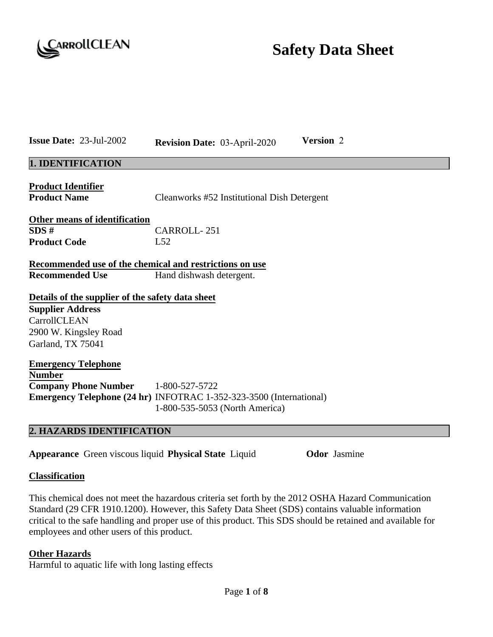

# **Safety Data Sheet**

| <b>Issue Date: 23-Jul-2002</b>                                                                                                            |                                                                                                               | <b>Revision Date: 03-April-2020</b>         | Version 2 |  |
|-------------------------------------------------------------------------------------------------------------------------------------------|---------------------------------------------------------------------------------------------------------------|---------------------------------------------|-----------|--|
| 1. IDENTIFICATION                                                                                                                         |                                                                                                               |                                             |           |  |
| <b>Product Identifier</b><br><b>Product Name</b>                                                                                          |                                                                                                               | Cleanworks #52 Institutional Dish Detergent |           |  |
| <b>Other means of identification</b><br>SDS#<br><b>Product Code</b>                                                                       | <b>CARROLL-251</b><br>L52                                                                                     |                                             |           |  |
|                                                                                                                                           | Recommended use of the chemical and restrictions on use<br><b>Recommended Use</b><br>Hand dishwash detergent. |                                             |           |  |
| Details of the supplier of the safety data sheet<br><b>Supplier Address</b><br>CarrollCLEAN<br>2900 W. Kingsley Road<br>Garland, TX 75041 |                                                                                                               |                                             |           |  |
| <b>Emergency Telephone</b><br><b>Number</b><br><b>Company Phone Number</b><br><b>A ILAZADDE IDEMTIELO ATIOM</b>                           | 1-800-527-5722<br><b>Emergency Telephone (24 hr) INFOTRAC 1-352-323-3500 (International)</b>                  | 1-800-535-5053 (North America)              |           |  |

# **2. HAZARDS IDENTIFICATION**

**Appearance** Green viscous liquid **Physical State** Liquid **Odor** Jasmine

## **Classification**

This chemical does not meet the hazardous criteria set forth by the 2012 OSHA Hazard Communication Standard (29 CFR 1910.1200). However, this Safety Data Sheet (SDS) contains valuable information critical to the safe handling and proper use of this product. This SDS should be retained and available for employees and other users of this product.

## **Other Hazards**

Harmful to aquatic life with long lasting effects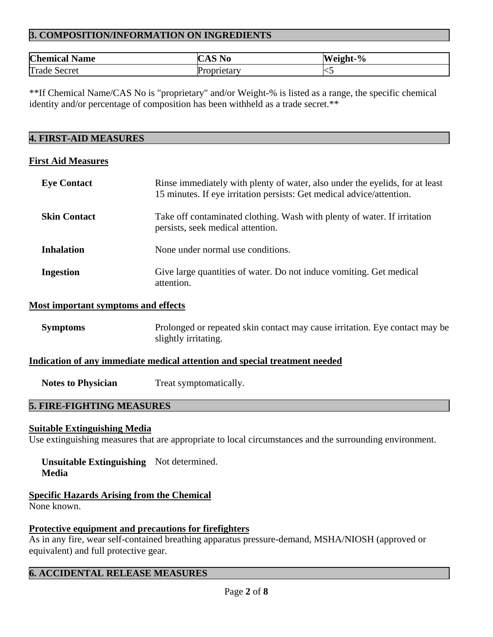# **3. COMPOSITION/INFORMATION ON INGREDIENTS**

| <b>Chemical Name</b> | $\curvearrowright$<br>U | Weight-% |
|----------------------|-------------------------|----------|
| Trade<br>Secret      | oprietarv               | ∼        |

\*\*If Chemical Name/CAS No is "proprietary" and/or Weight-% is listed as a range, the specific chemical identity and/or percentage of composition has been withheld as a trade secret.\*\*

#### **4. FIRST-AID MEASURES**

#### **First Aid Measures**

| <b>Eye Contact</b>  | Rinse immediately with plenty of water, also under the eyelids, for at least<br>15 minutes. If eye irritation persists: Get medical advice/attention. |
|---------------------|-------------------------------------------------------------------------------------------------------------------------------------------------------|
| <b>Skin Contact</b> | Take off contaminated clothing. Wash with plenty of water. If irritation<br>persists, seek medical attention.                                         |
| <b>Inhalation</b>   | None under normal use conditions.                                                                                                                     |
| <b>Ingestion</b>    | Give large quantities of water. Do not induce vomiting. Get medical<br>attention.                                                                     |

#### **Most important symptoms and effects**

**Symptoms** Prolonged or repeated skin contact may cause irritation. Eye contact may be slightly irritating.

## **Indication of any immediate medical attention and special treatment needed**

**Notes to Physician** Treat symptomatically.

## **5. FIRE-FIGHTING MEASURES**

#### **Suitable Extinguishing Media**

Use extinguishing measures that are appropriate to local circumstances and the surrounding environment.

## **Unsuitable Extinguishing**  Not determined. **Media**

**Specific Hazards Arising from the Chemical**  None known.

## **Protective equipment and precautions for firefighters**

As in any fire, wear self-contained breathing apparatus pressure-demand, MSHA/NIOSH (approved or equivalent) and full protective gear.

## **6. ACCIDENTAL RELEASE MEASURES**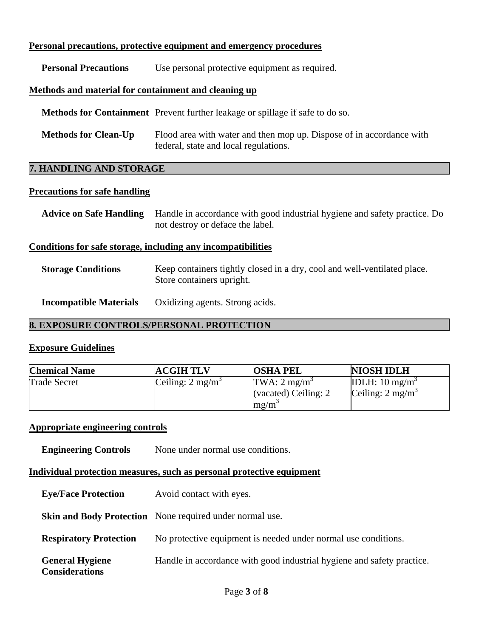## **Personal precautions, protective equipment and emergency procedures**

**Personal Precautions** Use personal protective equipment as required.

## **Methods and material for containment and cleaning up**

 **Methods for Containment** Prevent further leakage or spillage if safe to do so.

**Methods for Clean-Up** Flood area with water and then mop up. Dispose of in accordance with federal, state and local regulations.

## **7. HANDLING AND STORAGE**

## **Precautions for safe handling**

| <b>Advice on Safe Handling</b>                               | Handle in accordance with good industrial hygiene and safety practice. Do<br>not destroy or deface the label. |  |  |  |
|--------------------------------------------------------------|---------------------------------------------------------------------------------------------------------------|--|--|--|
| Conditions for safe storage, including any incompatibilities |                                                                                                               |  |  |  |
| <b>Storage Conditions</b>                                    | Keep containers tightly closed in a dry, cool and well-ventilated place.<br>Store containers upright.         |  |  |  |

**Incompatible Materials** Oxidizing agents. Strong acids.

## **8. EXPOSURE CONTROLS/PERSONAL PROTECTION**

## **Exposure Guidelines**

| <b>Chemical Name</b> | <b>ACGIH TLV</b>            | <b>OSHA PEL</b>                                         | <b>NIOSH IDLH</b>                                        |
|----------------------|-----------------------------|---------------------------------------------------------|----------------------------------------------------------|
| <b>Trade Secret</b>  | Ceiling: $2 \text{ mg/m}^3$ | TWA: $2 \text{ mg/m}^3$<br>(vacated) Ceiling: 2<br>mg/m | IDLH: $10 \text{ mg/m}^3$<br>Ceiling: $2 \text{ mg/m}^3$ |

## **Appropriate engineering controls**

**Engineering Controls** None under normal use conditions.

## **Individual protection measures, such as personal protective equipment**

| <b>Eye/Face Protection</b> | Avoid contact with eyes. |
|----------------------------|--------------------------|
|                            |                          |

**Skin and Body Protection** None required under normal use.

**Respiratory Protection** No protective equipment is needed under normal use conditions.

 **General Hygiene**  Handle in accordance with good industrial hygiene and safety practice.

**Considerations**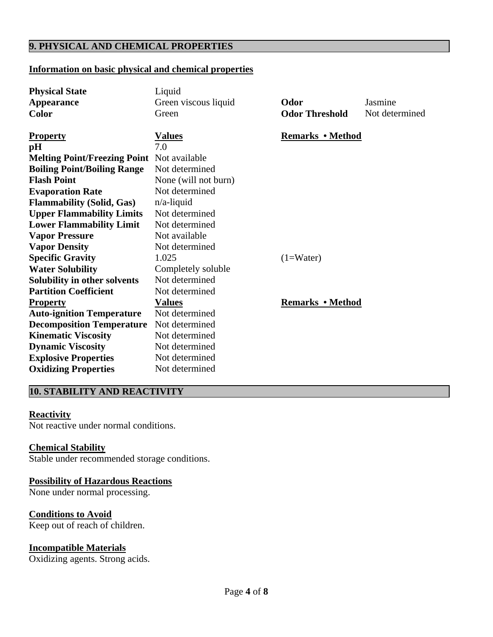# **9. PHYSICAL AND CHEMICAL PROPERTIES**

## **Information on basic physical and chemical properties**

| <b>Physical State</b>               | Liquid               |                         |                |
|-------------------------------------|----------------------|-------------------------|----------------|
| <b>Appearance</b>                   | Green viscous liquid | Odor                    | Jasmine        |
| <b>Color</b>                        | Green                | <b>Odor Threshold</b>   | Not determined |
|                                     |                      |                         |                |
| <b>Property</b>                     | <u>Values</u>        | <b>Remarks • Method</b> |                |
| pH                                  | 7.0                  |                         |                |
| <b>Melting Point/Freezing Point</b> | Not available        |                         |                |
| <b>Boiling Point/Boiling Range</b>  | Not determined       |                         |                |
| <b>Flash Point</b>                  | None (will not burn) |                         |                |
| <b>Evaporation Rate</b>             | Not determined       |                         |                |
| <b>Flammability (Solid, Gas)</b>    | $n/a$ -liquid        |                         |                |
| <b>Upper Flammability Limits</b>    | Not determined       |                         |                |
| <b>Lower Flammability Limit</b>     | Not determined       |                         |                |
| <b>Vapor Pressure</b>               | Not available        |                         |                |
| <b>Vapor Density</b>                | Not determined       |                         |                |
| <b>Specific Gravity</b>             | 1.025                | $(1=Water)$             |                |
| <b>Water Solubility</b>             | Completely soluble   |                         |                |
| Solubility in other solvents        | Not determined       |                         |                |
| <b>Partition Coefficient</b>        | Not determined       |                         |                |
| <b>Property</b>                     | <b>Values</b>        | <b>Remarks</b> • Method |                |
| <b>Auto-ignition Temperature</b>    | Not determined       |                         |                |
| <b>Decomposition Temperature</b>    | Not determined       |                         |                |
| <b>Kinematic Viscosity</b>          | Not determined       |                         |                |
| <b>Dynamic Viscosity</b>            | Not determined       |                         |                |
| <b>Explosive Properties</b>         | Not determined       |                         |                |
| <b>Oxidizing Properties</b>         | Not determined       |                         |                |
|                                     |                      |                         |                |

## **10. STABILITY AND REACTIVITY**

#### **Reactivity**

Not reactive under normal conditions.

## **Chemical Stability**

Stable under recommended storage conditions.

## **Possibility of Hazardous Reactions**

None under normal processing.

## **Conditions to Avoid**

Keep out of reach of children.

## **Incompatible Materials**

Oxidizing agents. Strong acids.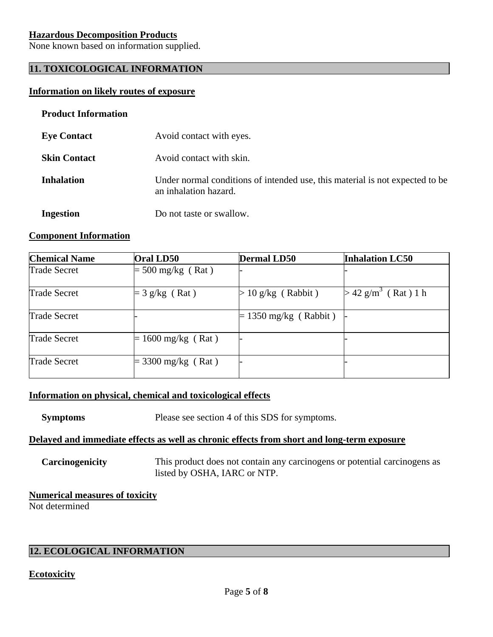## **Hazardous Decomposition Products**

None known based on information supplied.

# **11. TOXICOLOGICAL INFORMATION**

#### **Information on likely routes of exposure**

#### **Product Information**

| <b>Eye Contact</b>  | Avoid contact with eyes.                                                                              |
|---------------------|-------------------------------------------------------------------------------------------------------|
| <b>Skin Contact</b> | Avoid contact with skin.                                                                              |
| <b>Inhalation</b>   | Under normal conditions of intended use, this material is not expected to be<br>an inhalation hazard. |
| <b>Ingestion</b>    | Do not taste or swallow.                                                                              |

#### **Component Information**

| <b>Chemical Name</b> | Oral LD50                  | <b>Dermal LD50</b>      | <b>Inhalation LC50</b>            |
|----------------------|----------------------------|-------------------------|-----------------------------------|
| <b>Trade Secret</b>  | $= 500$ mg/kg (Rat)        |                         |                                   |
| <b>Trade Secret</b>  | $=$ 3 g/kg (Rat)           | $> 10$ g/kg (Rabbit)    | $> 42$ g/m <sup>3</sup> (Rat) 1 h |
| <b>Trade Secret</b>  |                            | $= 1350$ mg/kg (Rabbit) |                                   |
| <b>Trade Secret</b>  | $= 1600$ mg/kg (Rat)       |                         |                                   |
| <b>Trade Secret</b>  | $3300 \text{ mg/kg}$ (Rat) |                         |                                   |

## **Information on physical, chemical and toxicological effects**

**Symptoms** Please see section 4 of this SDS for symptoms.

#### **Delayed and immediate effects as well as chronic effects from short and long-term exposure**

**Carcinogenicity** This product does not contain any carcinogens or potential carcinogens as listed by OSHA, IARC or NTP.

# **Numerical measures of toxicity**

Not determined

## **12. ECOLOGICAL INFORMATION**

## **Ecotoxicity**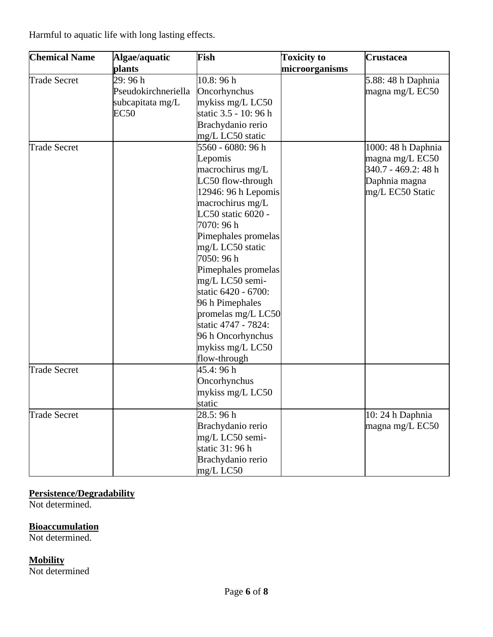Harmful to aquatic life with long lasting effects.

| <b>Chemical Name</b> | Algae/aquatic       | Fish                  | <b>Toxicity to</b> | Crustacea           |
|----------------------|---------------------|-----------------------|--------------------|---------------------|
|                      | plants              |                       | microorganisms     |                     |
| <b>Trade Secret</b>  | 29:96h              | 10.8:96h              |                    | 5.88: 48 h Daphnia  |
|                      | Pseudokirchneriella | Oncorhynchus          |                    | magna mg/L EC50     |
|                      | subcapitata mg/L    | mykiss mg/L LC50      |                    |                     |
|                      | <b>EC50</b>         | static 3.5 - 10: 96 h |                    |                     |
|                      |                     | Brachydanio rerio     |                    |                     |
|                      |                     | mg/L LC50 static      |                    |                     |
| <b>Trade Secret</b>  |                     | 5560 - 6080: 96 h     |                    | 1000: 48 h Daphnia  |
|                      |                     | Lepomis               |                    | magna mg/L EC50     |
|                      |                     | macrochirus mg/L      |                    | 340.7 - 469.2: 48 h |
|                      |                     | LC50 flow-through     |                    | Daphnia magna       |
|                      |                     | 12946: 96 h Lepomis   |                    | mg/L EC50 Static    |
|                      |                     | macrochirus mg/L      |                    |                     |
|                      |                     | LC50 static 6020 -    |                    |                     |
|                      |                     | 7070: 96 h            |                    |                     |
|                      |                     | Pimephales promelas   |                    |                     |
|                      |                     | mg/L LC50 static      |                    |                     |
|                      |                     | 7050: 96 h            |                    |                     |
|                      |                     | Pimephales promelas   |                    |                     |
|                      |                     | mg/L LC50 semi-       |                    |                     |
|                      |                     | static 6420 - 6700:   |                    |                     |
|                      |                     | 96 h Pimephales       |                    |                     |
|                      |                     | promelas mg/L LC50    |                    |                     |
|                      |                     | static 4747 - 7824:   |                    |                     |
|                      |                     | 96 h Oncorhynchus     |                    |                     |
|                      |                     | mykiss mg/L LC50      |                    |                     |
|                      |                     | flow-through          |                    |                     |
| <b>Trade Secret</b>  |                     | 45.4: 96 h            |                    |                     |
|                      |                     | Oncorhynchus          |                    |                     |
|                      |                     | mykiss mg/L LC50      |                    |                     |
|                      |                     | static                |                    |                     |
| <b>Trade Secret</b>  |                     | 28.5: 96 h            |                    | 10: 24 h Daphnia    |
|                      |                     | Brachydanio rerio     |                    | magna mg/L EC50     |
|                      |                     | mg/L LC50 semi-       |                    |                     |
|                      |                     | static 31: 96 h       |                    |                     |
|                      |                     | Brachydanio rerio     |                    |                     |
|                      |                     | mg/L LC50             |                    |                     |

# **Persistence/Degradability**

Not determined.

## **Bioaccumulation**

Not determined.

# **Mobility**

Not determined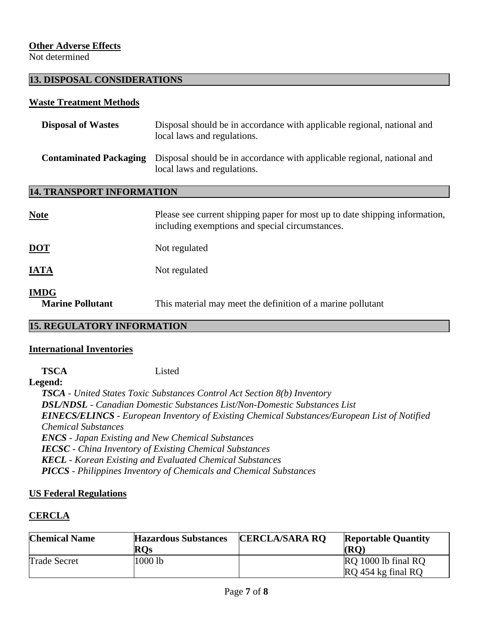## **Other Adverse Effects**

Not determined

## **13. DISPOSAL CONSIDERATIONS**

#### **Waste Treatment Methods**

| <b>Disposal of Wastes</b>              | Disposal should be in accordance with applicable regional, national and<br>local laws and regulations.                         |
|----------------------------------------|--------------------------------------------------------------------------------------------------------------------------------|
| <b>Contaminated Packaging</b>          | Disposal should be in accordance with applicable regional, national and<br>local laws and regulations.                         |
| <b>14. TRANSPORT INFORMATION</b>       |                                                                                                                                |
| Note                                   | Please see current shipping paper for most up to date shipping information,<br>including exemptions and special circumstances. |
| <u>DOT</u>                             | Not regulated                                                                                                                  |
| <b>IATA</b>                            | Not regulated                                                                                                                  |
| <b>IMDG</b><br><b>Marine Pollutant</b> | This material may meet the definition of a marine pollutant                                                                    |

## **15. REGULATORY INFORMATION**

## **International Inventories**

 **TSCA** Listed

**Legend:** 

*TSCA - United States Toxic Substances Control Act Section 8(b) Inventory DSL/NDSL - Canadian Domestic Substances List/Non-Domestic Substances List EINECS/ELINCS - European Inventory of Existing Chemical Substances/European List of Notified Chemical Substances ENCS - Japan Existing and New Chemical Substances IECSC - China Inventory of Existing Chemical Substances KECL - Korean Existing and Evaluated Chemical Substances PICCS - Philippines Inventory of Chemicals and Chemical Substances* 

## **US Federal Regulations**

## **CERCLA**

| <b>Chemical Name</b> | <b>Hazardous Substances</b><br><b>ROs</b> | <b>CERCLA/SARA RO</b> | <b>Reportable Quantity</b><br>(RO         |
|----------------------|-------------------------------------------|-----------------------|-------------------------------------------|
| <b>Trade Secret</b>  | 1000 lb                                   |                       | RQ 1000 lb final RQ<br>RQ 454 kg final RQ |